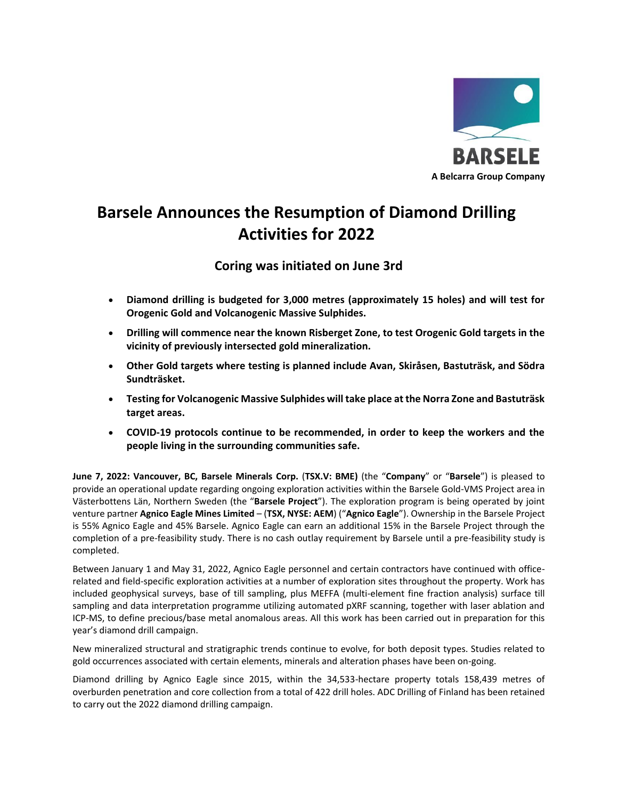

## **Barsele Announces the Resumption of Diamond Drilling Activities for 2022**

**Coring was initiated on June 3rd**

- **Diamond drilling is budgeted for 3,000 metres (approximately 15 holes) and will test for Orogenic Gold and Volcanogenic Massive Sulphides.**
- **Drilling will commence near the known Risberget Zone, to test Orogenic Gold targets in the vicinity of previously intersected gold mineralization.**
- **Other Gold targets where testing is planned include Avan, Skiråsen, Bastuträsk, and Södra Sundträsket.**
- **Testing for Volcanogenic Massive Sulphides will take place at the Norra Zone and Bastuträsk target areas.**
- **COVID-19 protocols continue to be recommended, in order to keep the workers and the people living in the surrounding communities safe.**

**June 7, 2022: Vancouver, BC, Barsele Minerals Corp.** (**TSX.V: BME)** (the "**Company**" or "**Barsele**") is pleased to provide an operational update regarding ongoing exploration activities within the Barsele Gold-VMS Project area in Västerbottens Län, Northern Sweden (the "**Barsele Project**"). The exploration program is being operated by joint venture partner **Agnico Eagle Mines Limited** – (**TSX, NYSE: AEM**) ("**Agnico Eagle**"). Ownership in the Barsele Project is 55% Agnico Eagle and 45% Barsele. Agnico Eagle can earn an additional 15% in the Barsele Project through the completion of a pre-feasibility study. There is no cash outlay requirement by Barsele until a pre-feasibility study is completed.

Between January 1 and May 31, 2022, Agnico Eagle personnel and certain contractors have continued with officerelated and field-specific exploration activities at a number of exploration sites throughout the property. Work has included geophysical surveys, base of till sampling, plus MEFFA (multi-element fine fraction analysis) surface till sampling and data interpretation programme utilizing automated pXRF scanning, together with laser ablation and ICP-MS, to define precious/base metal anomalous areas. All this work has been carried out in preparation for this year's diamond drill campaign.

New mineralized structural and stratigraphic trends continue to evolve, for both deposit types. Studies related to gold occurrences associated with certain elements, minerals and alteration phases have been on-going.

Diamond drilling by Agnico Eagle since 2015, within the 34,533-hectare property totals 158,439 metres of overburden penetration and core collection from a total of 422 drill holes. ADC Drilling of Finland has been retained to carry out the 2022 diamond drilling campaign.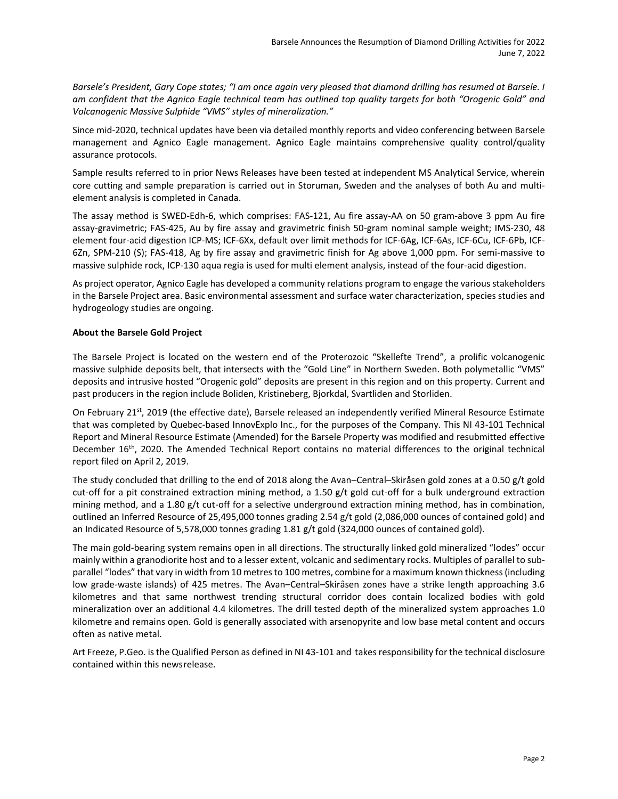*Barsele's President, Gary Cope states; "I am once again very pleased that diamond drilling has resumed at Barsele. I am confident that the Agnico Eagle technical team has outlined top quality targets for both "Orogenic Gold" and Volcanogenic Massive Sulphide "VMS" styles of mineralization."*

Since mid-2020, technical updates have been via detailed monthly reports and video conferencing between Barsele management and Agnico Eagle management. Agnico Eagle maintains comprehensive quality control/quality assurance protocols.

Sample results referred to in prior News Releases have been tested at independent MS Analytical Service, wherein core cutting and sample preparation is carried out in Storuman, Sweden and the analyses of both Au and multielement analysis is completed in Canada.

The assay method is SWED-Edh-6, which comprises: FAS-121, Au fire assay-AA on 50 gram-above 3 ppm Au fire assay-gravimetric; FAS-425, Au by fire assay and gravimetric finish 50-gram nominal sample weight; IMS-230, 48 element four-acid digestion ICP-MS; ICF-6Xx, default over limit methods for ICF-6Ag, ICF-6As, ICF-6Cu, ICF-6Pb, ICF-6Zn, SPM-210 (S); FAS-418, Ag by fire assay and gravimetric finish for Ag above 1,000 ppm. For semi-massive to massive sulphide rock, ICP-130 aqua regia is used for multi element analysis, instead of the four-acid digestion.

As project operator, Agnico Eagle has developed a community relations program to engage the various stakeholders in the Barsele Project area. Basic environmental assessment and surface water characterization, species studies and hydrogeology studies are ongoing.

## **About the Barsele Gold Project**

The Barsele Project is located on the western end of the Proterozoic "Skellefte Trend", a prolific volcanogenic massive sulphide deposits belt, that intersects with the "Gold Line" in Northern Sweden. Both polymetallic "VMS" deposits and intrusive hosted "Orogenic gold" deposits are present in this region and on this property. Current and past producers in the region include Boliden, Kristineberg, Bjorkdal, Svartliden and Storliden.

On February 21<sup>st</sup>, 2019 (the effective date), Barsele released an independently verified Mineral Resource Estimate that was completed by Quebec-based InnovExplo Inc., for the purposes of the Company. This NI 43-101 Technical Report and Mineral Resource Estimate (Amended) for the Barsele Property was modified and resubmitted effective December 16<sup>th</sup>, 2020. The Amended Technical Report contains no material differences to the original technical report filed on April 2, 2019.

The study concluded that drilling to the end of 2018 along the Avan–Central–Skiråsen gold zones at a 0.50 g/t gold cut-off for a pit constrained extraction mining method, a 1.50 g/t gold cut-off for a bulk underground extraction mining method, and a 1.80 g/t cut-off for a selective underground extraction mining method, has in combination, outlined an Inferred Resource of 25,495,000 tonnes grading 2.54 g/t gold (2,086,000 ounces of contained gold) and an Indicated Resource of 5,578,000 tonnes grading 1.81 g/t gold (324,000 ounces of contained gold).

The main gold-bearing system remains open in all directions. The structurally linked gold mineralized "lodes" occur mainly within a granodiorite host and to a lesser extent, volcanic and sedimentary rocks. Multiples of parallel to subparallel "lodes" that vary in width from 10 metres to 100 metres, combine for a maximum known thickness (including low grade-waste islands) of 425 metres. The Avan–Central–Skiråsen zones have a strike length approaching 3.6 kilometres and that same northwest trending structural corridor does contain localized bodies with gold mineralization over an additional 4.4 kilometres. The drill tested depth of the mineralized system approaches 1.0 kilometre and remains open. Gold is generally associated with arsenopyrite and low base metal content and occurs often as native metal.

Art Freeze, P.Geo. is the Qualified Person as defined in NI 43-101 and takes responsibility for the technical disclosure contained within this newsrelease.